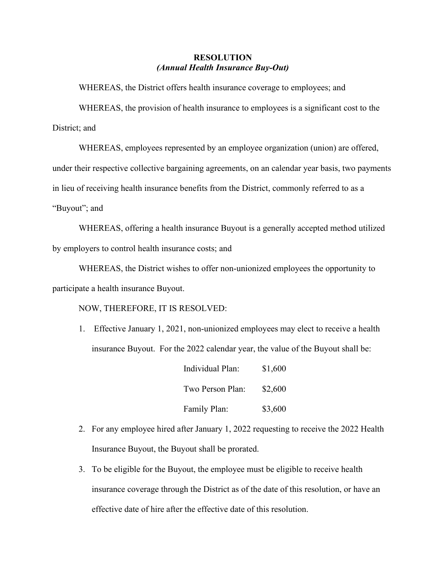## **RESOLUTION** *(Annual Health Insurance Buy-Out)*

WHEREAS, the District offers health insurance coverage to employees; and

WHEREAS, the provision of health insurance to employees is a significant cost to the District; and

WHEREAS, employees represented by an employee organization (union) are offered, under their respective collective bargaining agreements, on an calendar year basis, two payments in lieu of receiving health insurance benefits from the District, commonly referred to as a "Buyout"; and

WHEREAS, offering a health insurance Buyout is a generally accepted method utilized by employers to control health insurance costs; and

WHEREAS, the District wishes to offer non-unionized employees the opportunity to participate a health insurance Buyout.

NOW, THEREFORE, IT IS RESOLVED:

1. Effective January 1, 2021, non-unionized employees may elect to receive a health insurance Buyout. For the 2022 calendar year, the value of the Buyout shall be:

| Individual Plan: | \$1,600 |
|------------------|---------|
| Two Person Plan: | \$2,600 |
| Family Plan:     | \$3,600 |

- 2. For any employee hired after January 1, 2022 requesting to receive the 2022 Health Insurance Buyout, the Buyout shall be prorated.
- 3. To be eligible for the Buyout, the employee must be eligible to receive health insurance coverage through the District as of the date of this resolution, or have an effective date of hire after the effective date of this resolution.